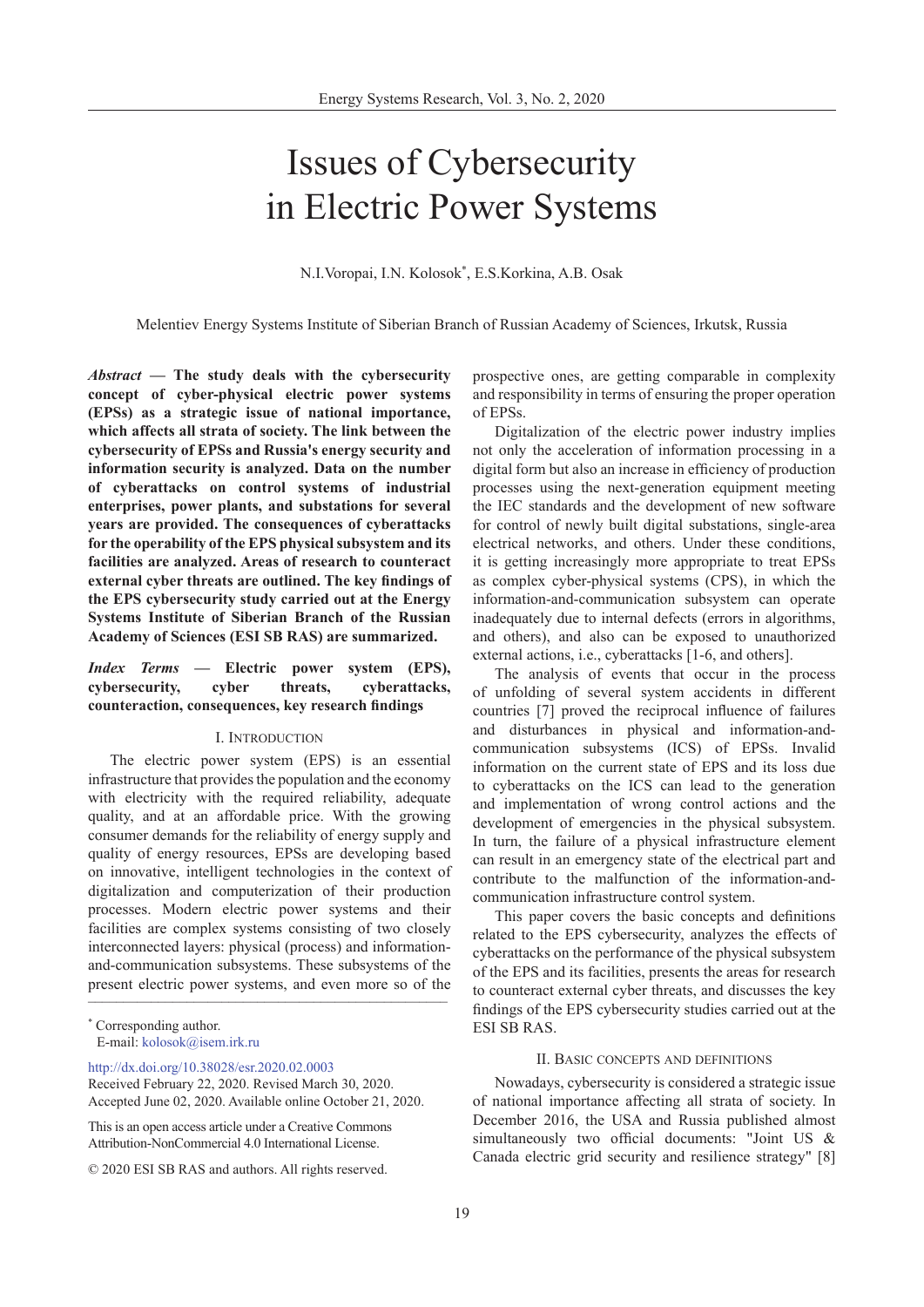# Issues of Cybersecurity in Electric Power Systems

N.I.Voropai, I.N. Kolosok\* , E.S.Korkina, A.B. Osak

Melentiev Energy Systems Institute of Siberian Branch of Russian Academy of Sciences, Irkutsk, Russia

*Abstract* **— The study deals with the cybersecurity concept of cyber-physical electric power systems (EPSs) as a strategic issue of national importance, which affects all strata of society. The link between the cybersecurity of EPSs and Russia's energy security and information security is analyzed. Data on the number of cyberattacks on control systems of industrial enterprises, power plants, and substations for several years are provided. The consequences of cyberattacks for the operability of the EPS physical subsystem and its facilities are analyzed. Areas of research to counteract external cyber threats are outlined. The key findings of the EPS cybersecurity study carried out at the Energy Systems Institute of Siberian Branch of the Russian Academy of Sciences (ESI SB RAS) are summarized.**

# *Index Terms* **— Electric power system (EPS), cybersecurity, cyber threats, cyberattacks, counteraction, consequences, key research findings**

#### I. Introduction

present electric power systems, and even more so of the The electric power system (EPS) is an essential infrastructure that provides the population and the economy with electricity with the required reliability, adequate quality, and at an affordable price. With the growing consumer demands for the reliability of energy supply and quality of energy resources, EPSs are developing based on innovative, intelligent technologies in the context of digitalization and computerization of their production processes. Modern electric power systems and their facilities are complex systems consisting of two closely interconnected layers: physical (process) and informationand-communication subsystems. These subsystems of the

[http://dx.doi.org/10.38028/esr.2020.02.000](http://dx.doi.org/10.38028/esr.2020.02.0003)3

This is an open access article under a Creative Commons Attribution-NonCommercial 4.0 International License.

prospective ones, are getting comparable in complexity and responsibility in terms of ensuring the proper operation of EPSs.

Digitalization of the electric power industry implies not only the acceleration of information processing in a digital form but also an increase in efficiency of production processes using the next-generation equipment meeting the IEC standards and the development of new software for control of newly built digital substations, single-area electrical networks, and others. Under these conditions, it is getting increasingly more appropriate to treat EPSs as complex cyber-physical systems (CPS), in which the information-and-communication subsystem can operate inadequately due to internal defects (errors in algorithms, and others), and also can be exposed to unauthorized external actions, i.e., cyberattacks [1-6, and others].

The analysis of events that occur in the process of unfolding of several system accidents in different countries [7] proved the reciprocal influence of failures and disturbances in physical and information-andcommunication subsystems (ICS) of EPSs. Invalid information on the current state of EPS and its loss due to cyberattacks on the ICS can lead to the generation and implementation of wrong control actions and the development of emergencies in the physical subsystem. In turn, the failure of a physical infrastructure element can result in an emergency state of the electrical part and contribute to the malfunction of the information-andcommunication infrastructure control system.

This paper covers the basic concepts and definitions related to the EPS cybersecurity, analyzes the effects of cyberattacks on the performance of the physical subsystem of the EPS and its facilities, presents the areas for research to counteract external cyber threats, and discusses the key findings of the EPS cybersecurity studies carried out at the ESI SB RAS.

# II. Basic concepts and definitions

Nowadays, cybersecurity is considered a strategic issue of national importance affecting all strata of society. In December 2016, the USA and Russia published almost simultaneously two official documents: "Joint US & Canada electric grid security and resilience strategy" [8]

<sup>\*</sup> Corresponding author. E-mail: kolosok@isem.irk.r[u](mailto:kolosok%40isem.irk.ru?subject=)

Received February 22, 2020. Revised March 30, 2020. Accepted June 02, 2020. Available online October 21, 2020.

<sup>© 2020</sup> ESI SB RAS and authors. All rights reserved.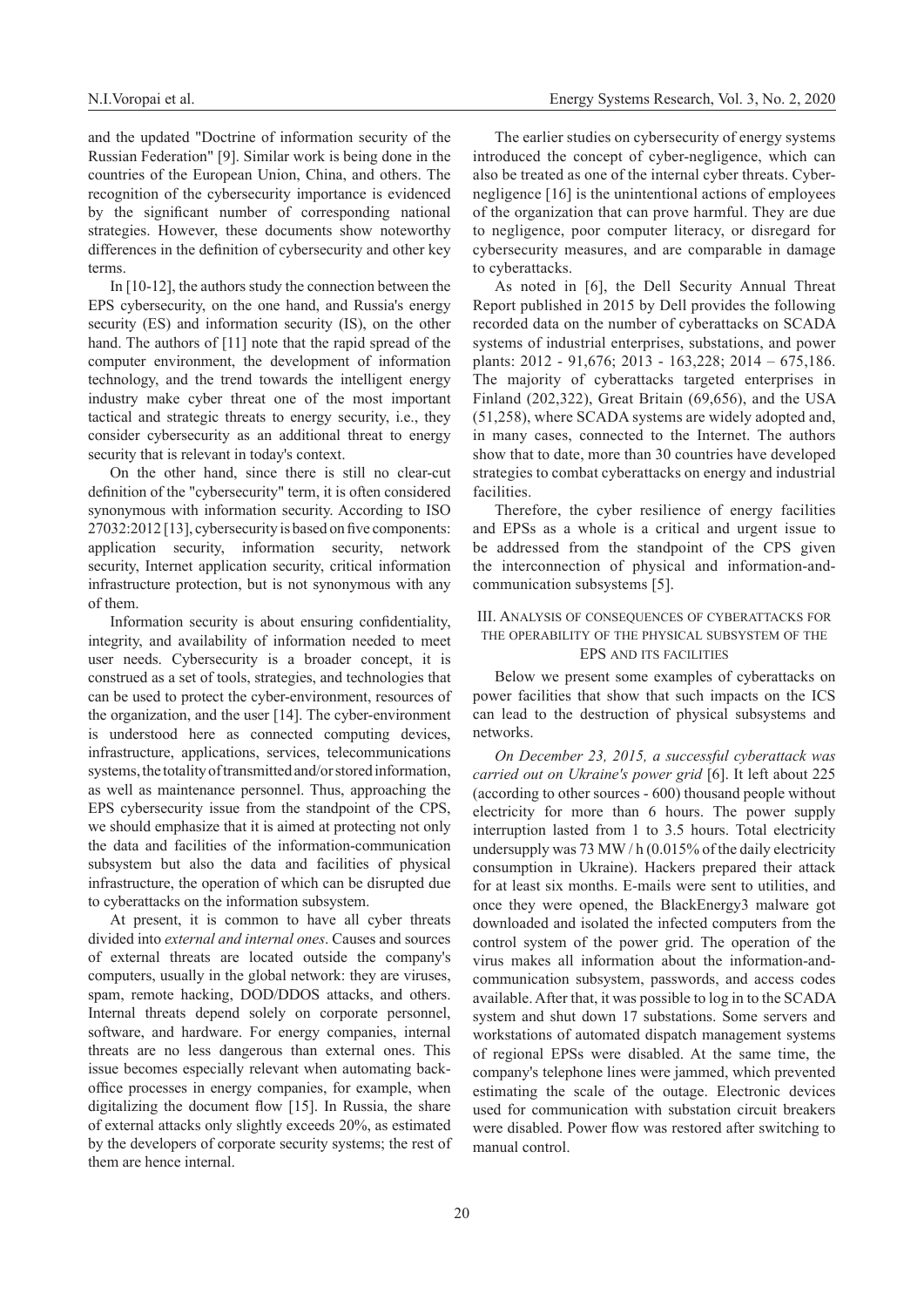and the updated "Doctrine of information security of the Russian Federation" [9]. Similar work is being done in the countries of the European Union, China, and others. The recognition of the cybersecurity importance is evidenced by the significant number of corresponding national strategies. However, these documents show noteworthy differences in the definition of cybersecurity and other key terms.

In [10-12], the authors study the connection between the EPS cybersecurity, on the one hand, and Russia's energy security (ES) and information security (IS), on the other hand. The authors of [11] note that the rapid spread of the computer environment, the development of information technology, and the trend towards the intelligent energy industry make cyber threat one of the most important tactical and strategic threats to energy security, i.e., they consider cybersecurity as an additional threat to energy security that is relevant in today's context.

On the other hand, since there is still no clear-cut definition of the "cybersecurity" term, it is often considered synonymous with information security. According to ISO 27032:2012 [13], cybersecurity is based on five components: application security, information security, network security, Internet application security, critical information infrastructure protection, but is not synonymous with any of them.

Information security is about ensuring confidentiality, integrity, and availability of information needed to meet user needs. Cybersecurity is a broader concept, it is construed as a set of tools, strategies, and technologies that can be used to protect the cyber-environment, resources of the organization, and the user [14]. The cyber-environment is understood here as connected computing devices, infrastructure, applications, services, telecommunications systems, the totality of transmitted and/or stored information, as well as maintenance personnel. Thus, approaching the EPS cybersecurity issue from the standpoint of the CPS, we should emphasize that it is aimed at protecting not only the data and facilities of the information-communication subsystem but also the data and facilities of physical infrastructure, the operation of which can be disrupted due to cyberattacks on the information subsystem.

At present, it is common to have all cyber threats divided into *external and internal ones*. Causes and sources of external threats are located outside the company's computers, usually in the global network: they are viruses, spam, remote hacking, DOD/DDOS attacks, and others. Internal threats depend solely on corporate personnel, software, and hardware. For energy companies, internal threats are no less dangerous than external ones. This issue becomes especially relevant when automating backoffice processes in energy companies, for example, when digitalizing the document flow [15]. In Russia, the share of external attacks only slightly exceeds 20%, as estimated by the developers of corporate security systems; the rest of them are hence internal.

The earlier studies on cybersecurity of energy systems introduced the concept of cyber-negligence, which can also be treated as one of the internal cyber threats. Cybernegligence [16] is the unintentional actions of employees of the organization that can prove harmful. They are due to negligence, poor computer literacy, or disregard for cybersecurity measures, and are comparable in damage to cyberattacks.

As noted in [6], the Dell Security Annual Threat Report published in 2015 by Dell provides the following recorded data on the number of cyberattacks on SCADA systems of industrial enterprises, substations, and power plants: 2012 - 91,676; 2013 - 163,228; 2014 – 675,186. The majority of cyberattacks targeted enterprises in Finland (202,322), Great Britain (69,656), and the USA (51,258), where SCADA systems are widely adopted and, in many cases, connected to the Internet. The authors show that to date, more than 30 countries have developed strategies to combat cyberattacks on energy and industrial facilities.

Therefore, the cyber resilience of energy facilities and EPSs as a whole is a critical and urgent issue to be addressed from the standpoint of the CPS given the interconnection of physical and information-andcommunication subsystems [5].

### III. Analysis of consequences of cyberattacks for the operability of the physical subsystem of the EPS and its facilities

Below we present some examples of cyberattacks on power facilities that show that such impacts on the ICS can lead to the destruction of physical subsystems and networks.

*On December 23, 2015, a successful cyberattack was carried out on Ukraine's power grid* [6]. It left about 225 (according to other sources - 600) thousand people without electricity for more than 6 hours. The power supply interruption lasted from 1 to 3.5 hours. Total electricity undersupply was 73 MW / h (0.015% of the daily electricity consumption in Ukraine). Hackers prepared their attack for at least six months. E-mails were sent to utilities, and once they were opened, the BlackEnergy3 malware got downloaded and isolated the infected computers from the control system of the power grid. The operation of the virus makes all information about the information-andcommunication subsystem, passwords, and access codes available. After that, it was possible to log in to the SCADA system and shut down 17 substations. Some servers and workstations of automated dispatch management systems of regional EPSs were disabled. At the same time, the company's telephone lines were jammed, which prevented estimating the scale of the outage. Electronic devices used for communication with substation circuit breakers were disabled. Power flow was restored after switching to manual control.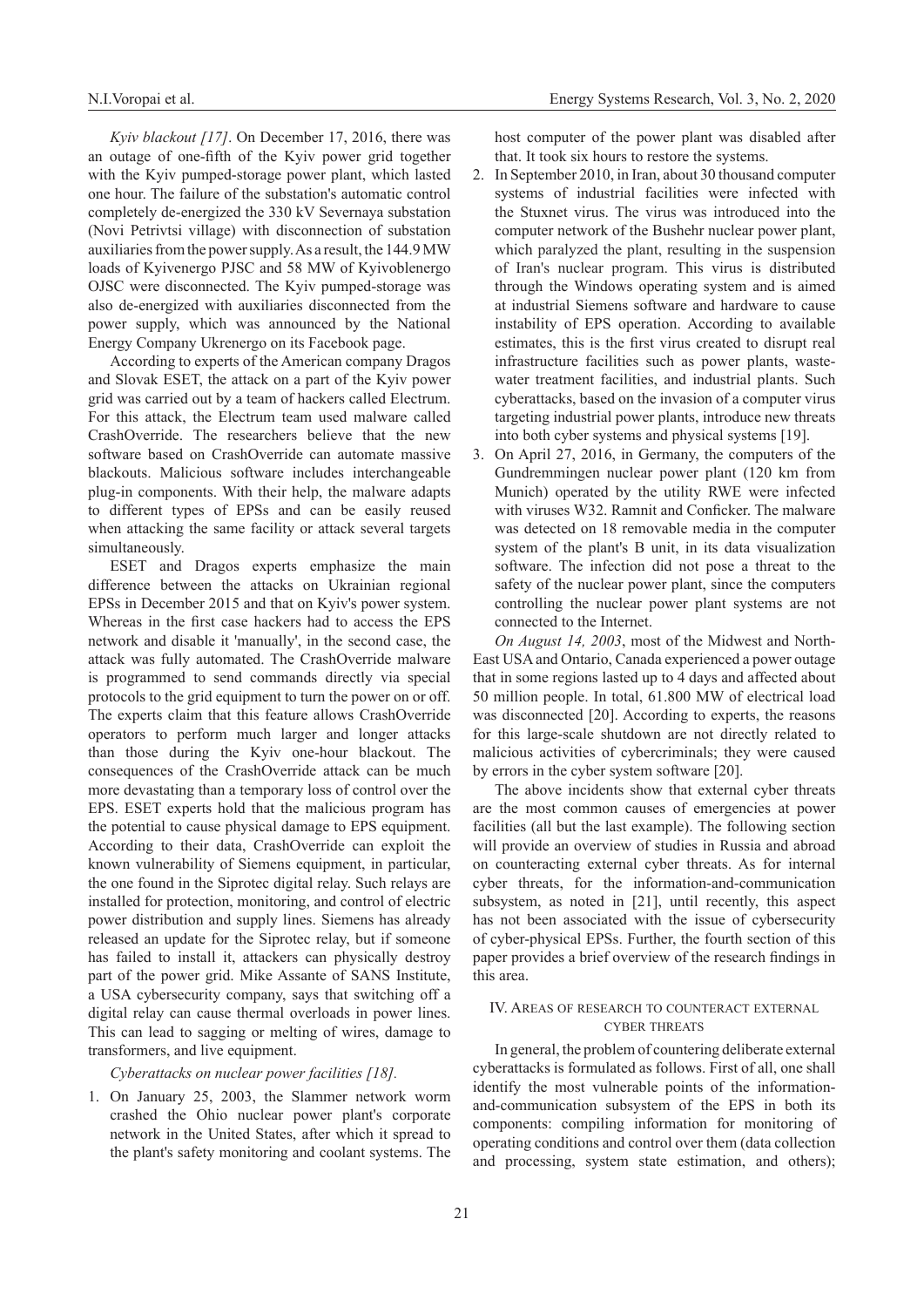*Kyiv blackout [17]*. On December 17, 2016, there was an outage of one-fifth of the Kyiv power grid together with the Kyiv pumped-storage power plant, which lasted one hour. The failure of the substation's automatic control completely de-energized the 330 kV Severnaya substation (Novi Petrivtsi village) with disconnection of substation auxiliaries from the power supply. As a result, the 144.9 MW loads of Kyivenergo PJSC and 58 MW of Kyivoblenergo OJSC were disconnected. The Kyiv pumped-storage was also de-energized with auxiliaries disconnected from the power supply, which was announced by the National Energy Company Ukrenergo on its Facebook page.

According to experts of the American company Dragos and Slovak ESET, the attack on a part of the Kyiv power grid was carried out by a team of hackers called Electrum. For this attack, the Electrum team used malware called CrashOverride. The researchers believe that the new software based on CrashOverride can automate massive blackouts. Malicious software includes interchangeable plug-in components. With their help, the malware adapts to different types of EPSs and can be easily reused when attacking the same facility or attack several targets simultaneously.

ESET and Dragos experts emphasize the main difference between the attacks on Ukrainian regional EPSs in December 2015 and that on Kyiv's power system. Whereas in the first case hackers had to access the EPS network and disable it 'manually', in the second case, the attack was fully automated. The CrashOverride malware is programmed to send commands directly via special protocols to the grid equipment to turn the power on or off. The experts claim that this feature allows CrashOverride operators to perform much larger and longer attacks than those during the Kyiv one-hour blackout. The consequences of the CrashOverride attack can be much more devastating than a temporary loss of control over the EPS. ESET experts hold that the malicious program has the potential to cause physical damage to EPS equipment. According to their data, CrashOverride can exploit the known vulnerability of Siemens equipment, in particular, the one found in the Siprotec digital relay. Such relays are installed for protection, monitoring, and control of electric power distribution and supply lines. Siemens has already released an update for the Siprotec relay, but if someone has failed to install it, attackers can physically destroy part of the power grid. Mike Assante of SANS Institute, a USA cybersecurity company, says that switching off a digital relay can cause thermal overloads in power lines. This can lead to sagging or melting of wires, damage to transformers, and live equipment.

# *Cyberattacks on nuclear power facilities [18].*

1. On January 25, 2003, the Slammer network worm crashed the Ohio nuclear power plant's corporate network in the United States, after which it spread to the plant's safety monitoring and coolant systems. The host computer of the power plant was disabled after that. It took six hours to restore the systems.

- 2. In September 2010, in Iran, about 30 thousand computer systems of industrial facilities were infected with the Stuxnet virus. The virus was introduced into the computer network of the Bushehr nuclear power plant, which paralyzed the plant, resulting in the suspension of Iran's nuclear program. This virus is distributed through the Windows operating system and is aimed at industrial Siemens software and hardware to cause instability of EPS operation. According to available estimates, this is the first virus created to disrupt real infrastructure facilities such as power plants, wastewater treatment facilities, and industrial plants. Such cyberattacks, based on the invasion of a computer virus targeting industrial power plants, introduce new threats into both cyber systems and physical systems [19].
- 3. On April 27, 2016, in Germany, the computers of the Gundremmingen nuclear power plant (120 km from Munich) operated by the utility RWE were infected with viruses W32. Ramnit and Conficker. The malware was detected on 18 removable media in the computer system of the plant's B unit, in its data visualization software. The infection did not pose a threat to the safety of the nuclear power plant, since the computers controlling the nuclear power plant systems are not connected to the Internet.

*On August 14, 2003*, most of the Midwest and North-East USA and Ontario, Canada experienced a power outage that in some regions lasted up to 4 days and affected about 50 million people. In total, 61.800 MW of electrical load was disconnected [20]. According to experts, the reasons for this large-scale shutdown are not directly related to malicious activities of cybercriminals; they were caused by errors in the cyber system software [20].

The above incidents show that external cyber threats are the most common causes of emergencies at power facilities (all but the last example). The following section will provide an overview of studies in Russia and abroad on counteracting external cyber threats. As for internal cyber threats, for the information-and-communication subsystem, as noted in [21], until recently, this aspect has not been associated with the issue of cybersecurity of cyber-physical EPSs. Further, the fourth section of this paper provides a brief overview of the research findings in this area.

# IV. Areas of research to counteract external cyber threats

In general, the problem of countering deliberate external cyberattacks is formulated as follows. First of all, one shall identify the most vulnerable points of the informationand-communication subsystem of the EPS in both its components: compiling information for monitoring of operating conditions and control over them (data collection and processing, system state estimation, and others);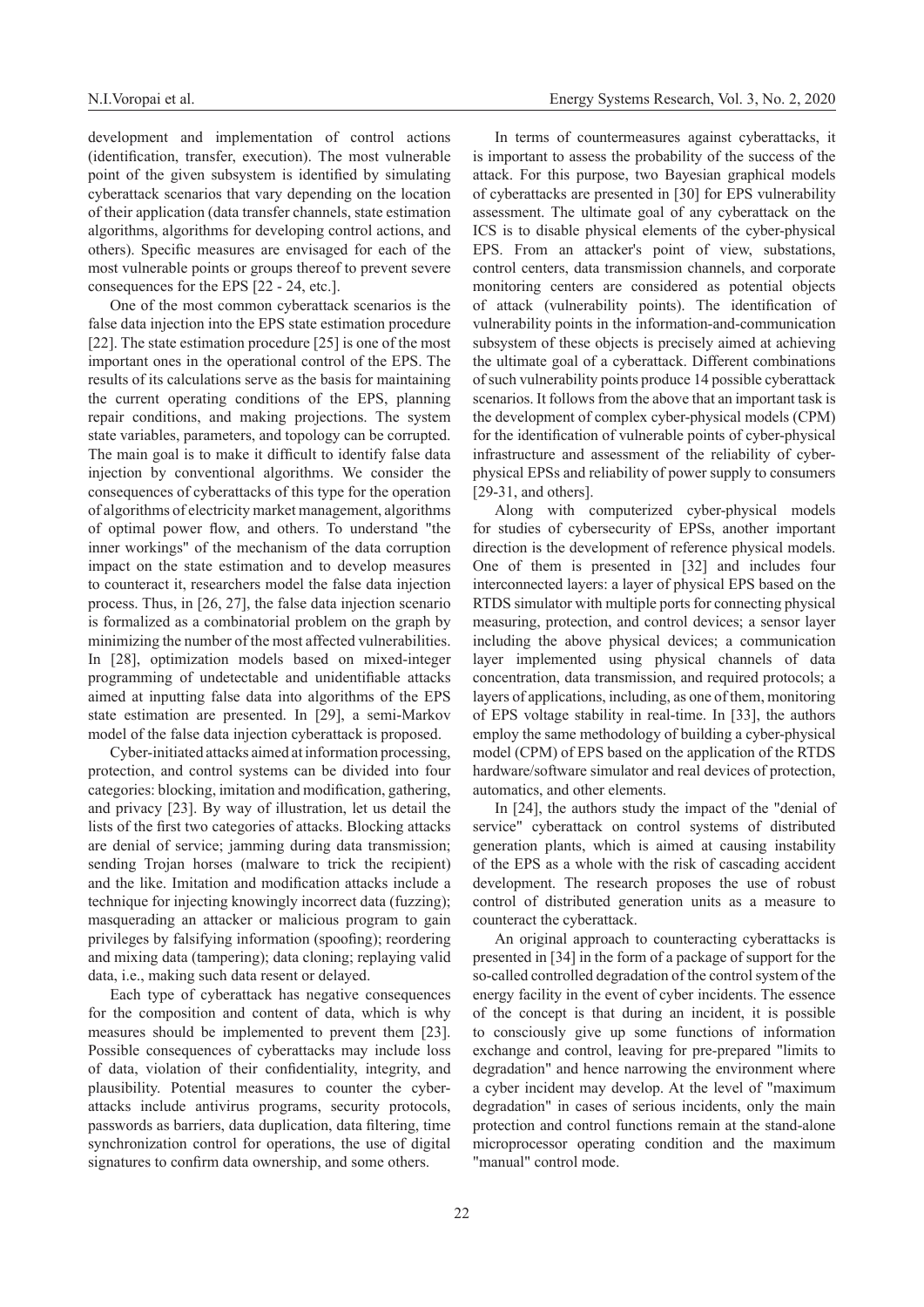development and implementation of control actions (identification, transfer, execution). The most vulnerable point of the given subsystem is identified by simulating cyberattack scenarios that vary depending on the location of their application (data transfer channels, state estimation algorithms, algorithms for developing control actions, and others). Specific measures are envisaged for each of the most vulnerable points or groups thereof to prevent severe consequences for the EPS [22 - 24, etc.].

One of the most common cyberattack scenarios is the false data injection into the EPS state estimation procedure [22]. The state estimation procedure [25] is one of the most important ones in the operational control of the EPS. The results of its calculations serve as the basis for maintaining the current operating conditions of the EPS, planning repair conditions, and making projections. The system state variables, parameters, and topology can be corrupted. The main goal is to make it difficult to identify false data injection by conventional algorithms. We consider the consequences of cyberattacks of this type for the operation of algorithms of electricity market management, algorithms of optimal power flow, and others. To understand "the inner workings" of the mechanism of the data corruption impact on the state estimation and to develop measures to counteract it, researchers model the false data injection process. Thus, in [26, 27], the false data injection scenario is formalized as a combinatorial problem on the graph by minimizing the number of the most affected vulnerabilities. In [28], optimization models based on mixed-integer programming of undetectable and unidentifiable attacks aimed at inputting false data into algorithms of the EPS state estimation are presented. In [29], a semi-Markov model of the false data injection cyberattack is proposed.

Cyber-initiated attacks aimed at information processing, protection, and control systems can be divided into four categories: blocking, imitation and modification, gathering, and privacy [23]. By way of illustration, let us detail the lists of the first two categories of attacks. Blocking attacks are denial of service; jamming during data transmission; sending Trojan horses (malware to trick the recipient) and the like. Imitation and modification attacks include a technique for injecting knowingly incorrect data (fuzzing); masquerading an attacker or malicious program to gain privileges by falsifying information (spoofing); reordering and mixing data (tampering); data cloning; replaying valid data, i.e., making such data resent or delayed.

Each type of cyberattack has negative consequences for the composition and content of data, which is why measures should be implemented to prevent them [23]. Possible consequences of cyberattacks may include loss of data, violation of their confidentiality, integrity, and plausibility. Potential measures to counter the cyberattacks include antivirus programs, security protocols, passwords as barriers, data duplication, data filtering, time synchronization control for operations, the use of digital signatures to confirm data ownership, and some others.

In terms of countermeasures against cyberattacks, it is important to assess the probability of the success of the attack. For this purpose, two Bayesian graphical models of cyberattacks are presented in [30] for EPS vulnerability assessment. The ultimate goal of any cyberattack on the ICS is to disable physical elements of the cyber-physical EPS. From an attacker's point of view, substations, control centers, data transmission channels, and corporate monitoring centers are considered as potential objects of attack (vulnerability points). The identification of vulnerability points in the information-and-communication subsystem of these objects is precisely aimed at achieving the ultimate goal of a cyberattack. Different combinations of such vulnerability points produce 14 possible cyberattack scenarios. It follows from the above that an important task is the development of complex cyber-physical models (CPM) for the identification of vulnerable points of cyber-physical infrastructure and assessment of the reliability of cyberphysical EPSs and reliability of power supply to consumers [29-31, and others].

Along with computerized cyber-physical models for studies of cybersecurity of EPSs, another important direction is the development of reference physical models. One of them is presented in [32] and includes four interconnected layers: a layer of physical EPS based on the RTDS simulator with multiple ports for connecting physical measuring, protection, and control devices; a sensor layer including the above physical devices; a communication layer implemented using physical channels of data concentration, data transmission, and required protocols; a layers of applications, including, as one of them, monitoring of EPS voltage stability in real-time. In [33], the authors employ the same methodology of building a cyber-physical model (CPM) of EPS based on the application of the RTDS hardware/software simulator and real devices of protection, automatics, and other elements.

In [24], the authors study the impact of the "denial of service" cyberattack on control systems of distributed generation plants, which is aimed at causing instability of the EPS as a whole with the risk of cascading accident development. The research proposes the use of robust control of distributed generation units as a measure to counteract the cyberattack.

An original approach to counteracting cyberattacks is presented in [34] in the form of a package of support for the so-called controlled degradation of the control system of the energy facility in the event of cyber incidents. The essence of the concept is that during an incident, it is possible to consciously give up some functions of information exchange and control, leaving for pre-prepared "limits to degradation" and hence narrowing the environment where a cyber incident may develop. At the level of "maximum degradation" in cases of serious incidents, only the main protection and control functions remain at the stand-alone microprocessor operating condition and the maximum "manual" control mode.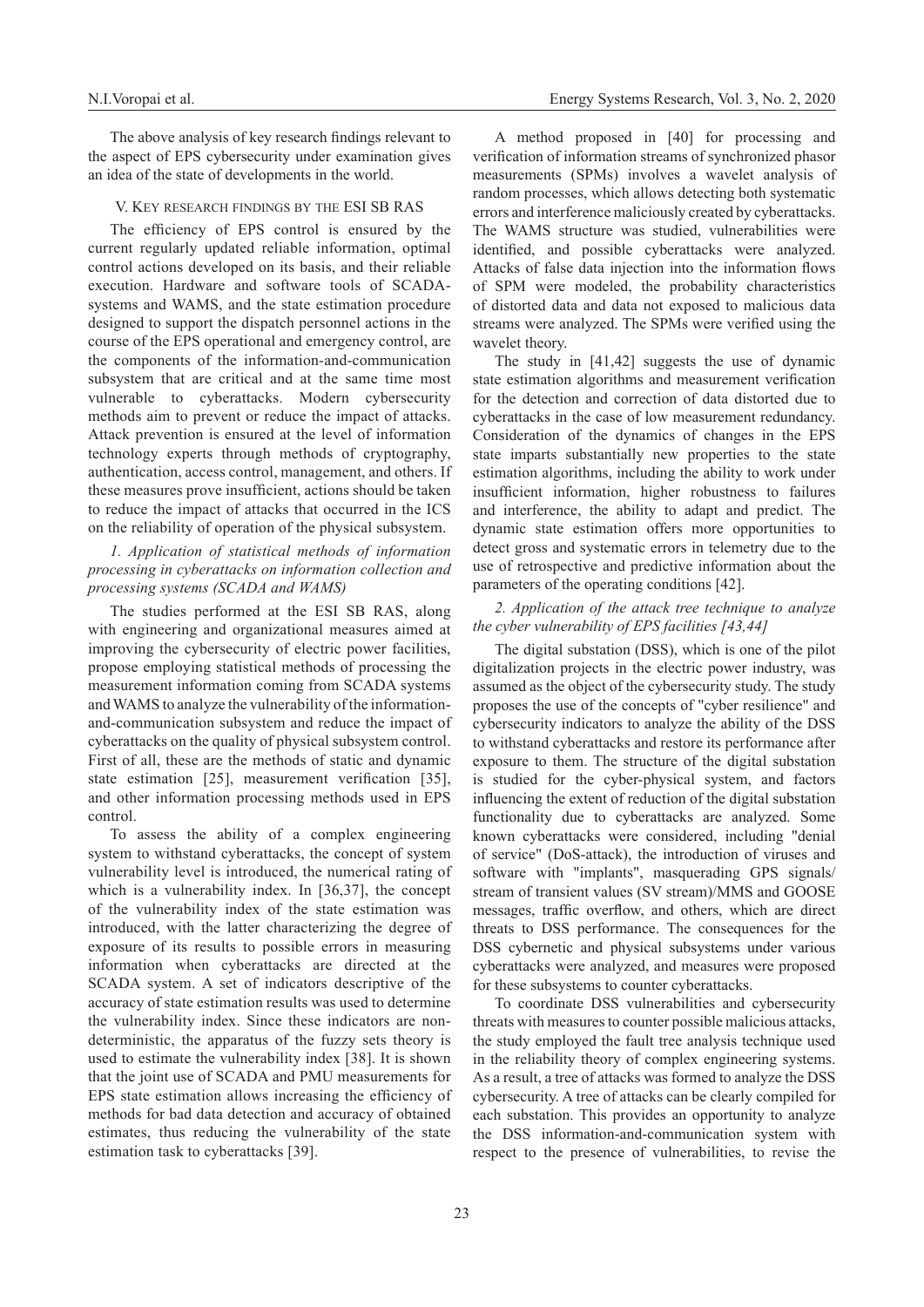The above analysis of key research findings relevant to the aspect of EPS cybersecurity under examination gives an idea of the state of developments in the world.

#### V. Key research findings by the ESI SB RAS

The efficiency of EPS control is ensured by the current regularly updated reliable information, optimal control actions developed on its basis, and their reliable execution. Hardware and software tools of SCADAsystems and WAMS, and the state estimation procedure designed to support the dispatch personnel actions in the course of the EPS operational and emergency control, are the components of the information-and-communication subsystem that are critical and at the same time most vulnerable to cyberattacks. Modern cybersecurity methods aim to prevent or reduce the impact of attacks. Attack prevention is ensured at the level of information technology experts through methods of cryptography, authentication, access control, management, and others. If these measures prove insufficient, actions should be taken to reduce the impact of attacks that occurred in the ICS on the reliability of operation of the physical subsystem.

# *1. Application of statistical methods of information processing in cyberattacks on information collection and processing systems (SCADA and WAMS)*

The studies performed at the ESI SB RAS, along with engineering and organizational measures aimed at improving the cybersecurity of electric power facilities, propose employing statistical methods of processing the measurement information coming from SCADA systems and WAMS to analyze the vulnerability of the informationand-communication subsystem and reduce the impact of cyberattacks on the quality of physical subsystem control. First of all, these are the methods of static and dynamic state estimation [25], measurement verification [35], and other information processing methods used in EPS control.

To assess the ability of a complex engineering system to withstand cyberattacks, the concept of system vulnerability level is introduced, the numerical rating of which is a vulnerability index. In [36,37], the concept of the vulnerability index of the state estimation was introduced, with the latter characterizing the degree of exposure of its results to possible errors in measuring information when cyberattacks are directed at the SCADA system. A set of indicators descriptive of the accuracy of state estimation results was used to determine the vulnerability index. Since these indicators are nondeterministic, the apparatus of the fuzzy sets theory is used to estimate the vulnerability index [38]. It is shown that the joint use of SCADA and PMU measurements for EPS state estimation allows increasing the efficiency of methods for bad data detection and accuracy of obtained estimates, thus reducing the vulnerability of the state estimation task to cyberattacks [39].

A method proposed in [40] for processing and verification of information streams of synchronized phasor measurements (SPMs) involves a wavelet analysis of random processes, which allows detecting both systematic errors and interference maliciously created by cyberattacks. The WAMS structure was studied, vulnerabilities were identified, and possible cyberattacks were analyzed. Attacks of false data injection into the information flows of SPM were modeled, the probability characteristics of distorted data and data not exposed to malicious data streams were analyzed. The SPMs were verified using the wavelet theory.

The study in [41,42] suggests the use of dynamic state estimation algorithms and measurement verification for the detection and correction of data distorted due to cyberattacks in the case of low measurement redundancy. Consideration of the dynamics of changes in the EPS state imparts substantially new properties to the state estimation algorithms, including the ability to work under insufficient information, higher robustness to failures and interference, the ability to adapt and predict. The dynamic state estimation offers more opportunities to detect gross and systematic errors in telemetry due to the use of retrospective and predictive information about the parameters of the operating conditions [42].

# *2. Application of the attack tree technique to analyze the cyber vulnerability of EPS facilities [43,44]*

The digital substation (DSS), which is one of the pilot digitalization projects in the electric power industry, was assumed as the object of the cybersecurity study. The study proposes the use of the concepts of "cyber resilience" and cybersecurity indicators to analyze the ability of the DSS to withstand cyberattacks and restore its performance after exposure to them. The structure of the digital substation is studied for the cyber-physical system, and factors influencing the extent of reduction of the digital substation functionality due to cyberattacks are analyzed. Some known cyberattacks were considered, including "denial of service" (DoS-attack), the introduction of viruses and software with "implants", masquerading GPS signals/ stream of transient values (SV stream)/MMS and GOOSE messages, traffic overflow, and others, which are direct threats to DSS performance. The consequences for the DSS cybernetic and physical subsystems under various cyberattacks were analyzed, and measures were proposed for these subsystems to counter cyberattacks.

To coordinate DSS vulnerabilities and cybersecurity threats with measures to counter possible malicious attacks, the study employed the fault tree analysis technique used in the reliability theory of complex engineering systems. As a result, a tree of attacks was formed to analyze the DSS cybersecurity. A tree of attacks can be clearly compiled for each substation. This provides an opportunity to analyze the DSS information-and-communication system with respect to the presence of vulnerabilities, to revise the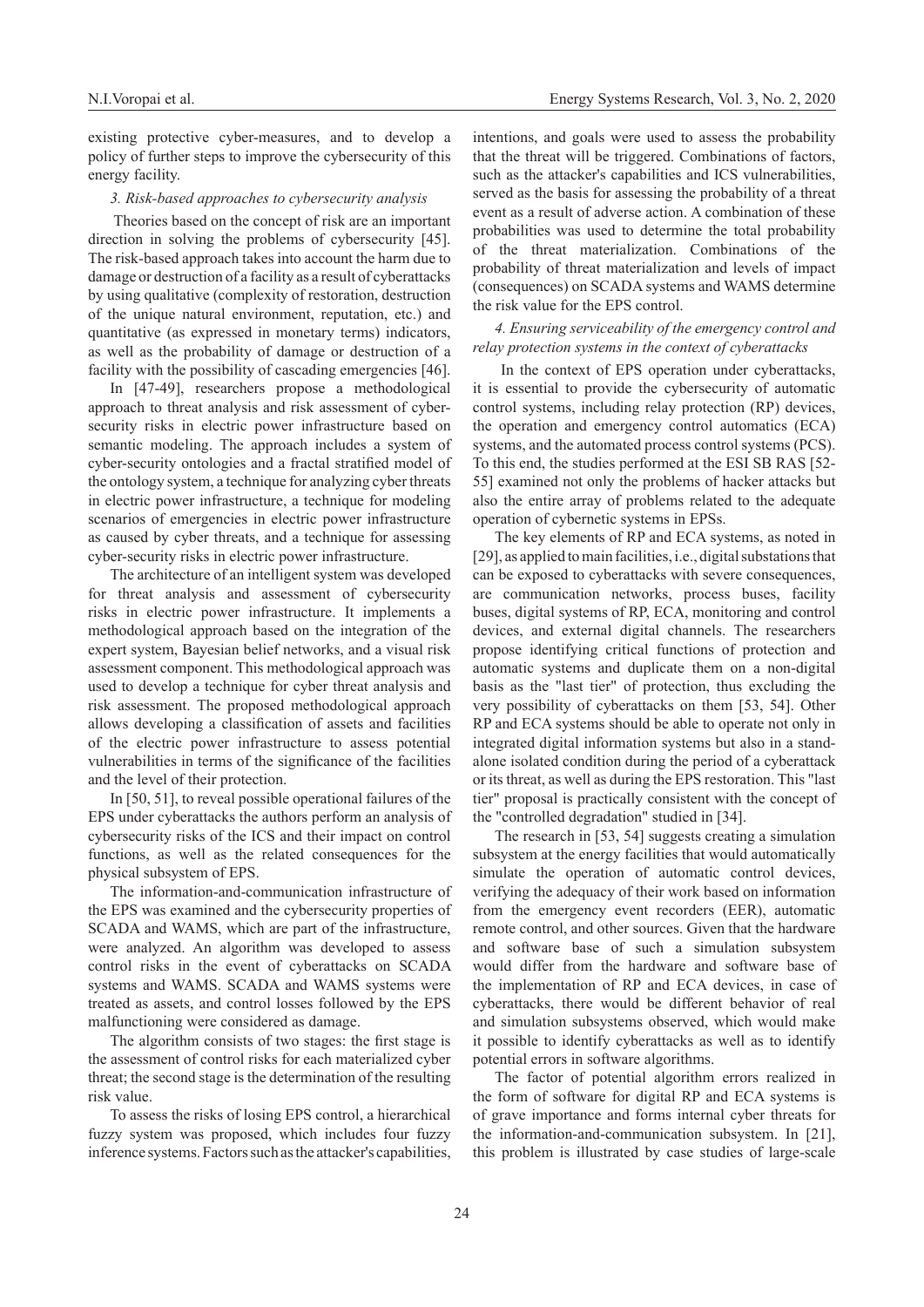existing protective cyber-measures, and to develop a policy of further steps to improve the cybersecurity of this energy facility.

#### *3. Risk-based approaches to cybersecurity analysis*

 Theories based on the concept of risk are an important direction in solving the problems of cybersecurity [45]. The risk-based approach takes into account the harm due to damage or destruction of a facility as a result of cyberattacks by using qualitative (complexity of restoration, destruction of the unique natural environment, reputation, etc.) and quantitative (as expressed in monetary terms) indicators, as well as the probability of damage or destruction of a facility with the possibility of cascading emergencies [46].

In [47-49], researchers propose a methodological approach to threat analysis and risk assessment of cybersecurity risks in electric power infrastructure based on semantic modeling. The approach includes a system of cyber-security ontologies and a fractal stratified model of the ontology system, a technique for analyzing cyber threats in electric power infrastructure, a technique for modeling scenarios of emergencies in electric power infrastructure as caused by cyber threats, and a technique for assessing cyber-security risks in electric power infrastructure.

The architecture of an intelligent system was developed for threat analysis and assessment of cybersecurity risks in electric power infrastructure. It implements a methodological approach based on the integration of the expert system, Bayesian belief networks, and a visual risk assessment component. This methodological approach was used to develop a technique for cyber threat analysis and risk assessment. The proposed methodological approach allows developing a classification of assets and facilities of the electric power infrastructure to assess potential vulnerabilities in terms of the significance of the facilities and the level of their protection.

In [50, 51], to reveal possible operational failures of the EPS under cyberattacks the authors perform an analysis of cybersecurity risks of the ICS and their impact on control functions, as well as the related consequences for the physical subsystem of EPS.

The information-and-communication infrastructure of the EPS was examined and the cybersecurity properties of SCADA and WAMS, which are part of the infrastructure, were analyzed. An algorithm was developed to assess control risks in the event of cyberattacks on SCADA systems and WAMS. SCADA and WAMS systems were treated as assets, and control losses followed by the EPS malfunctioning were considered as damage.

The algorithm consists of two stages: the first stage is the assessment of control risks for each materialized cyber threat; the second stage is the determination of the resulting risk value.

To assess the risks of losing EPS control, a hierarchical fuzzy system was proposed, which includes four fuzzy inference systems. Factors such as the attacker's capabilities,

intentions, and goals were used to assess the probability that the threat will be triggered. Combinations of factors, such as the attacker's capabilities and ICS vulnerabilities, served as the basis for assessing the probability of a threat event as a result of adverse action. A combination of these probabilities was used to determine the total probability of the threat materialization. Combinations of the probability of threat materialization and levels of impact (consequences) on SCADA systems and WAMS determine the risk value for the EPS control.

# *4. Ensuring serviceability of the emergency control and relay protection systems in the context of cyberattacks*

 In the context of EPS operation under cyberattacks, it is essential to provide the cybersecurity of automatic control systems, including relay protection (RP) devices, the operation and emergency control automatics (ECA) systems, and the automated process control systems (PCS). To this end, the studies performed at the ESI SB RAS [52- 55] examined not only the problems of hacker attacks but also the entire array of problems related to the adequate operation of cybernetic systems in EPSs.

The key elements of RP and ECA systems, as noted in [29], as applied to main facilities, i.e., digital substations that can be exposed to cyberattacks with severe consequences, are communication networks, process buses, facility buses, digital systems of RP, ECA, monitoring and control devices, and external digital channels. The researchers propose identifying critical functions of protection and automatic systems and duplicate them on a non-digital basis as the "last tier" of protection, thus excluding the very possibility of cyberattacks on them [53, 54]. Other RP and ECA systems should be able to operate not only in integrated digital information systems but also in a standalone isolated condition during the period of a cyberattack or its threat, as well as during the EPS restoration. This "last tier" proposal is practically consistent with the concept of the "controlled degradation" studied in [34].

The research in [53, 54] suggests creating a simulation subsystem at the energy facilities that would automatically simulate the operation of automatic control devices, verifying the adequacy of their work based on information from the emergency event recorders (EER), automatic remote control, and other sources. Given that the hardware and software base of such a simulation subsystem would differ from the hardware and software base of the implementation of RP and ECA devices, in case of cyberattacks, there would be different behavior of real and simulation subsystems observed, which would make it possible to identify cyberattacks as well as to identify potential errors in software algorithms.

The factor of potential algorithm errors realized in the form of software for digital RP and ECA systems is of grave importance and forms internal cyber threats for the information-and-communication subsystem. In [21], this problem is illustrated by case studies of large-scale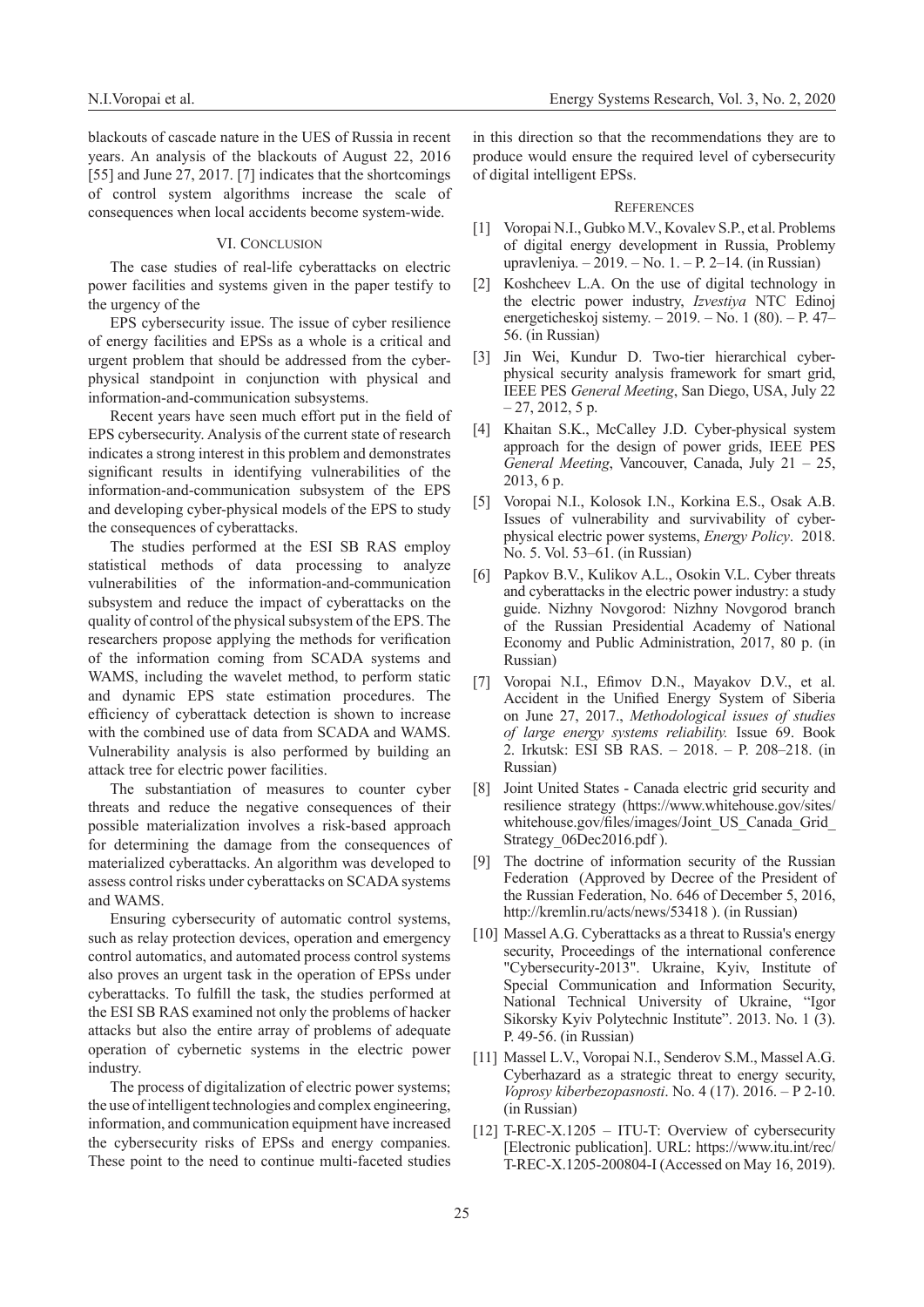blackouts of cascade nature in the UES of Russia in recent years. An analysis of the blackouts of August 22, 2016 [55] and June 27, 2017. [7] indicates that the shortcomings of control system algorithms increase the scale of consequences when local accidents become system-wide.

#### VI. CONCLUSION

The case studies of real-life cyberattacks on electric power facilities and systems given in the paper testify to the urgency of the

EPS cybersecurity issue. The issue of cyber resilience of energy facilities and EPSs as a whole is a critical and urgent problem that should be addressed from the cyberphysical standpoint in conjunction with physical and information-and-communication subsystems.

Recent years have seen much effort put in the field of EPS cybersecurity. Analysis of the current state of research indicates a strong interest in this problem and demonstrates significant results in identifying vulnerabilities of the information-and-communication subsystem of the EPS and developing cyber-physical models of the EPS to study the consequences of cyberattacks.

The studies performed at the ESI SB RAS employ statistical methods of data processing to analyze vulnerabilities of the information-and-communication subsystem and reduce the impact of cyberattacks on the quality of control of the physical subsystem of the EPS. The researchers propose applying the methods for verification of the information coming from SCADA systems and WAMS, including the wavelet method, to perform static and dynamic EPS state estimation procedures. The efficiency of cyberattack detection is shown to increase with the combined use of data from SCADA and WAMS. Vulnerability analysis is also performed by building an attack tree for electric power facilities.

The substantiation of measures to counter cyber threats and reduce the negative consequences of their possible materialization involves a risk-based approach for determining the damage from the consequences of materialized cyberattacks. An algorithm was developed to assess control risks under cyberattacks on SCADA systems and WAMS.

Ensuring cybersecurity of automatic control systems, such as relay protection devices, operation and emergency control automatics, and automated process control systems also proves an urgent task in the operation of EPSs under cyberattacks. To fulfill the task, the studies performed at the ESI SB RAS examined not only the problems of hacker attacks but also the entire array of problems of adequate operation of cybernetic systems in the electric power industry.

The process of digitalization of electric power systems; the use of intelligent technologies and complex engineering, information, and communication equipment have increased the cybersecurity risks of EPSs and energy companies. These point to the need to continue multi-faceted studies

in this direction so that the recommendations they are to produce would ensure the required level of cybersecurity of digital intelligent EPSs.

#### **REFERENCES**

- [1] Voropai N.I., Gubko M.V., Kovalev S.P., et al. Problems of digital energy development in Russia, Problemy upravleniya. – 2019. – No. 1. – P. 2–14. (in Russian)
- [2] Koshcheev L.A. On the use of digital technology in the electric power industry, *Izvestiya* NTC Edinoj energeticheskoj sistemy. – 2019. – No. 1 (80). – P. 47– 56. (in Russian)
- [3] Jin Wei, Kundur D. Two-tier hierarchical cyberphysical security analysis framework for smart grid, IEEE PES *General Meeting*, San Diego, USA, July 22  $-27, 2012, 5$  p.
- [4] Khaitan S.K., McCalley J.D. Cyber-physical system approach for the design of power grids, IEEE PES *General Meeting*, Vancouver, Canada, July 21 – 25, 2013, 6 p.
- [5] Voropai N.I., Kolosok I.N., Korkina E.S., Osak A.B. Issues of vulnerability and survivability of cyberphysical electric power systems, *Energy Policy*. 2018. No. 5. Vol. 53–61. (in Russian)
- [6] Papkov B.V., Kulikov A.L., Osokin V.L. Cyber threats and cyberattacks in the electric power industry: a study guide. Nizhny Novgorod: Nizhny Novgorod branch of the Russian Presidential Academy of National Economy and Public Administration, 2017, 80 p. (in Russian)
- [7] Voropai N.I., Efimov D.N., Mayakov D.V., et al. Accident in the Unified Energy System of Siberia on June 27, 2017., *Methodological issues of studies of large energy systems reliability.* Issue 69. Book 2. Irkutsk: ESI SB RAS. – 2018. – P. 208–218. (in Russian)
- [8] Joint United States Canada electric grid security and resilience strategy (https://www.whitehouse.gov/sites/ whitehouse.gov/files/images/Joint\_US\_Canada\_Grid\_ Strategy 06Dec2016.pdf).
- [9] The doctrine of information security of the Russian Federation (Approved by Decree of the President of the Russian Federation, No. 646 of December 5, 2016, http://kremlin.ru/acts/news/53418 ). (in Russian)
- [10] Massel A.G. Cyberattacks as a threat to Russia's energy security, Proceedings of the international conference "Cybersecurity-2013". Ukraine, Kyiv, Institute of Special Communication and Information Security, National Technical University of Ukraine, "Igor Sikorsky Kyiv Polytechnic Institute". 2013. No. 1 (3). P. 49-56. (in Russian)
- [11] Massel L.V., Voropai N.I., Senderov S.M., Massel A.G. Cyberhazard as a strategic threat to energy security, *Voprosy kiberbezopasnosti*. No. 4 (17). 2016. – P 2-10. (in Russian)
- [12] T-REC-X.1205 ITU-T: Overview of cybersecurity [Electronic publication]. URL: https://www.itu.int/rec/ T-REC-X.1205-200804-I (Accessed on May 16, 2019).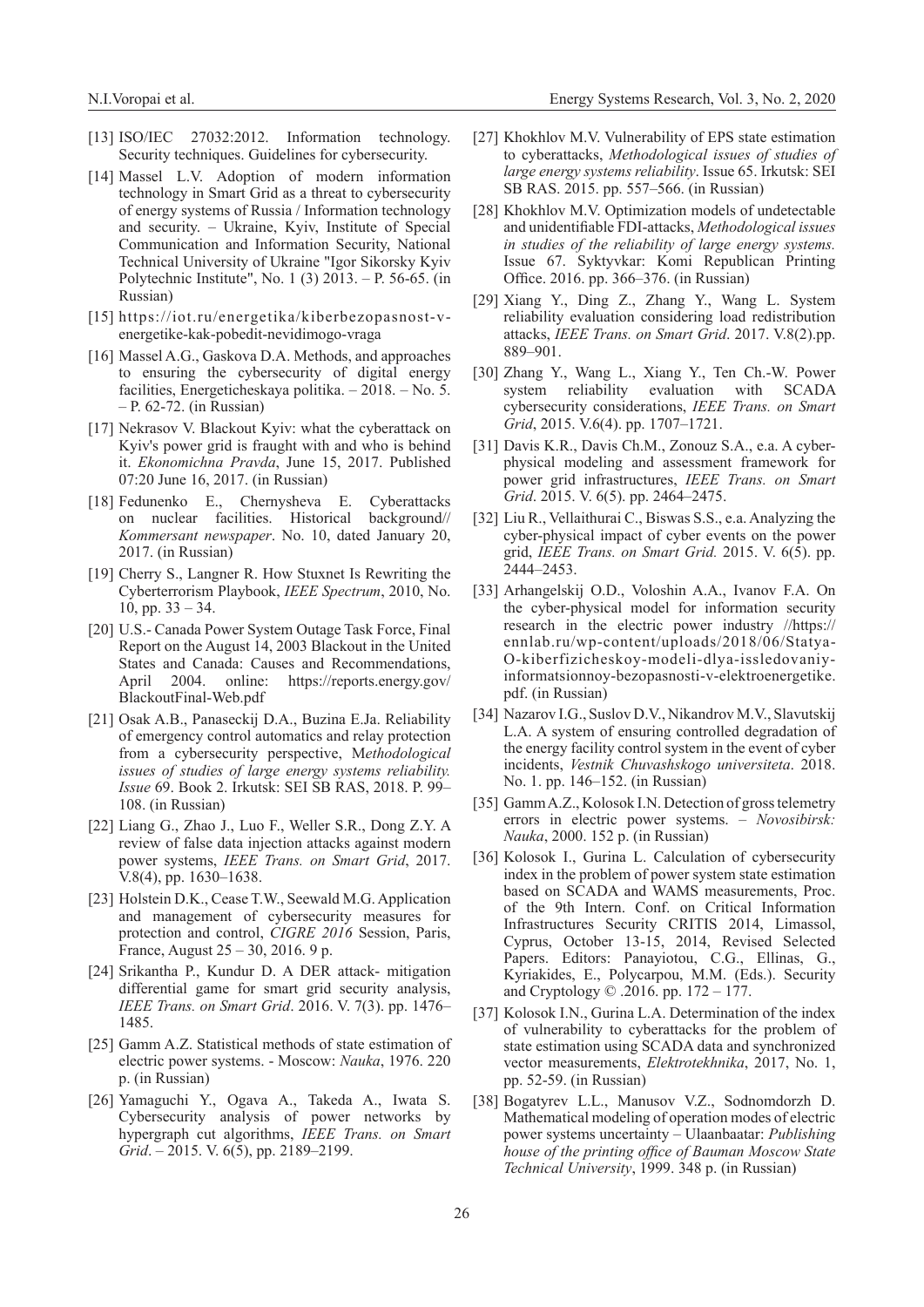- [13] ISO/IEC 27032:2012. Information technology. Security techniques. Guidelines for cybersecurity.
- [14] Massel L.V. Adoption of modern information technology in Smart Grid as a threat to cybersecurity of energy systems of Russia / Information technology and security. – Ukraine, Kyiv, Institute of Special Communication and Information Security, National Technical University of Ukraine "Igor Sikorsky Kyiv Polytechnic Institute", No. 1 (3) 2013. – P. 56-65. (in Russian)
- [15] https://iot.ru/energetika/kiberbezopasnost-venergetike-kak-pobedit-nevidimogo-vraga
- [16] Massel A.G., Gaskova D.A. Methods, and approaches to ensuring the cybersecurity of digital energy facilities, Energeticheskaya politika. – 2018. – No. 5. – P. 62-72. (in Russian)
- [17] Nekrasov V. Blackout Kyiv: what the cyberattack on Kyiv's power grid is fraught with and who is behind it. *Ekonomichna Pravda*, June 15, 2017. Published 07:20 June 16, 2017. (in Russian)
- [18] Fedunenko E., Chernysheva E. Cyberattacks on nuclear facilities. Historical background// *Kommersant newspaper*. No. 10, dated January 20, 2017. (in Russian)
- [19] Cherry S., Langner R. How Stuxnet Is Rewriting the Cyberterrorism Playbook, *IEEE Spectrum*, 2010, No. 10, pp.  $33 - 34$ .
- [20] U.S.- Canada Power System Outage Task Force, Final Report on the August 14, 2003 Blackout in the United States and Canada: Causes and Recommendations, April 2004. online: https://reports.energy.gov/ BlackoutFinal-Web.pdf
- [21] Osak A.B., Panaseckij D.A., Buzina E.Ja. Reliability of emergency control automatics and relay protection from a cybersecurity perspective, M*ethodological issues of studies of large energy systems reliability. Issue* 69. Book 2. Irkutsk: SEI SB RAS, 2018. P. 99– 108. (in Russian)
- [22] Liang G., Zhao J., Luo F., Weller S.R., Dong Z.Y. A review of false data injection attacks against modern power systems, *IEEE Trans. on Smart Grid*, 2017. V.8(4), pp. 1630–1638.
- [23] Holstein D.K., Cease T.W., Seewald M.G. Application and management of cybersecurity measures for protection and control, *CIGRE 2016* Session, Paris, France, August 25 – 30, 2016. 9 p.
- [24] Srikantha P., Kundur D. A DER attack- mitigation differential game for smart grid security analysis, *IEEE Trans. on Smart Grid*. 2016. V. 7(3). pp. 1476– 1485.
- [25] Gamm A.Z. Statistical methods of state estimation of electric power systems. - Moscow: *Nauka*, 1976. 220 p. (in Russian)
- [26] Yamaguchi Y., Ogava A., Takeda A., Iwata S. Cybersecurity analysis of power networks by hypergraph cut algorithms, *IEEE Trans. on Smart Grid*. – 2015. V. 6(5), pp. 2189–2199.
- [27] Khokhlov M.V. Vulnerability of EPS state estimation to cyberattacks, *Methodological issues of studies of large energy systems reliability*. Issue 65. Irkutsk: SEI SB RAS. 2015. pp. 557–566. (in Russian)
- [28] Khokhlov M.V. Optimization models of undetectable and unidentifiable FDI-attacks, *Methodological issues in studies of the reliability of large energy systems.*  Issue 67. Syktyvkar: Komi Republican Printing Office. 2016. pp. 366–376. (in Russian)
- [29] Xiang Y., Ding Z., Zhang Y., Wang L. System reliability evaluation considering load redistribution attacks, *IEEE Trans. on Smart Grid*. 2017. V.8(2).pp. 889–901.
- [30] Zhang Y., Wang L., Xiang Y., Ten Ch.-W. Power system reliability evaluation with SCADA cybersecurity considerations, *IEEE Trans. on Smart Grid*, 2015. V.6(4). pp. 1707–1721.
- [31] Davis K.R., Davis Ch.M., Zonouz S.A., e.a. A cyberphysical modeling and assessment framework for power grid infrastructures, *IEEE Trans. on Smart Grid*. 2015. V. 6(5). pp. 2464–2475.
- [32] Liu R., Vellaithurai C., Biswas S.S., e.a. Analyzing the cyber-physical impact of cyber events on the power grid, *IEEE Trans. on Smart Grid.* 2015. V. 6(5). pp. 2444–2453.
- [33] Arhangelskij O.D., Voloshin A.A., Ivanov F.A. On the cyber-physical model for information security research in the electric power industry //https:// ennlab.ru/wp-content/uploads/2018/06/Statya-O-kiberfizicheskoy-modeli-dlya-issledovaniyinformatsionnoy-bezopasnosti-v-elektroenergetike. pdf. (in Russian)
- [34] Nazarov I.G., Suslov D.V., Nikandrov M.V., Slavutskij L.A. A system of ensuring controlled degradation of the energy facility control system in the event of cyber incidents, *Vestnik Chuvashskogo universiteta*. 2018. No. 1. pp. 146–152. (in Russian)
- [35] Gamm A.Z., Kolosok I.N. Detection of gross telemetry errors in electric power systems. – *Novosibirsk: Nauka*, 2000. 152 p. (in Russian)
- [36] Kolosok I., Gurina L. Calculation of cybersecurity index in the problem of power system state estimation based on SCADA and WAMS measurements, Proc. of the 9th Intern. Conf. on Critical Information Infrastructures Security CRITIS 2014, Limassol, Cyprus, October 13-15, 2014, Revised Selected Papers. Editors: Panayiotou, C.G., Ellinas, G., Kyriakides, E., Polycarpou, M.M. (Eds.). Security and Cryptology © .2016. pp. 172 – 177.
- [37] Kolosok I.N., Gurina L.A. Determination of the index of vulnerability to cyberattacks for the problem of state estimation using SCADA data and synchronized vector measurements, *Elektrotekhnika*, 2017, No. 1, pp. 52-59. (in Russian)
- [38] Bogatyrev L.L., Manusov V.Z., Sodnomdorzh D. Mathematical modeling of operation modes of electric power systems uncertainty – Ulaanbaatar: *Publishing house of the printing office of Bauman Moscow State Technical University*, 1999. 348 p. (in Russian)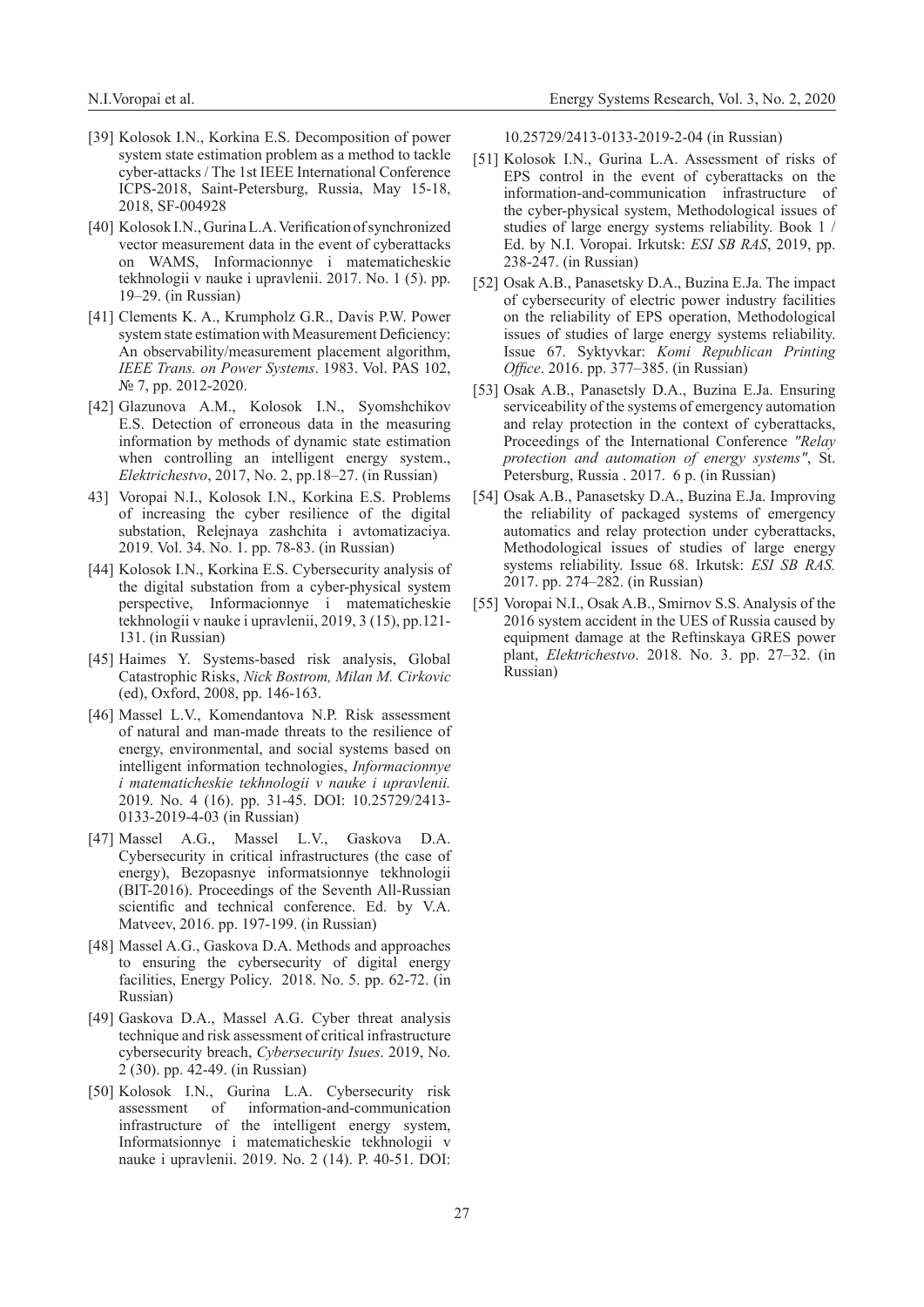- [39] Kolosok I.N., Korkina E.S. Decomposition of power system state estimation problem as a method to tackle cyber-attacks / The 1st IEEE International Conference ICPS-2018, Saint-Petersburg, Russia, May 15-18, 2018, SF-004928
- [40] Kolosok I.N., Gurina L.A. Verification of synchronized vector measurement data in the event of cyberattacks on WAMS, Informacionnye i matematicheskie tekhnologii v nauke i upravlenii. 2017. No. 1 (5). pp. 19–29. (in Russian)
- [41] Clements K. A., Krumpholz G.R., Davis P.W. Power system state estimation with Measurement Deficiency: An observability/measurement placement algorithm, *IEEE Trans. on Power Systems*. 1983. Vol. PAS 102, № 7, pp. 2012-2020.
- [42] Glazunova A.M., Kolosok I.N., Syomshchikov E.S. Detection of erroneous data in the measuring information by methods of dynamic state estimation when controlling an intelligent energy system., *Elektrichestvo*, 2017, No. 2, pp.18–27. (in Russian)
- 43] Voropai N.I., Kolosok I.N., Korkina E.S. Problems of increasing the cyber resilience of the digital substation, Relejnaya zashchita i avtomatizaciya. 2019. Vol. 34. No. 1. pp. 78-83. (in Russian)
- [44] Kolosok I.N., Korkina E.S. Cybersecurity analysis of the digital substation from a cyber-physical system perspective, Informacionnye i matematicheskie tekhnologii v nauke i upravlenii, 2019, 3 (15), pp.121- 131. (in Russian)
- [45] Haimes Y. Systems-based risk analysis, Global Catastrophic Risks, *Nick Bostrom, Milan M. Cirkovic*  (ed), Oxford, 2008, pp. 146-163.
- [46] Massel L.V., Komendantova N.P. Risk assessment of natural and man-made threats to the resilience of energy, environmental, and social systems based on intelligent information technologies, *Informacionnye i matematicheskie tekhnologii v nauke i upravlenii.*  2019. No. 4 (16). pp. 31-45. DOI: 10.25729/2413- 0133-2019-4-03 (in Russian)
- [47] Massel A.G., Massel L.V., Gaskova D.A. Cybersecurity in critical infrastructures (the case of energy), Bezopasnye informatsionnye tekhnologii (BIT-2016). Proceedings of the Seventh All-Russian scientific and technical conference. Ed. by V.A. Matveev, 2016. pp. 197-199. (in Russian)
- [48] Massel A.G., Gaskova D.A. Methods and approaches to ensuring the cybersecurity of digital energy facilities, Energy Policy. 2018. No. 5. pp. 62-72. (in Russian)
- [49] Gaskova D.A., Massel A.G. Cyber threat analysis technique and risk assessment of critical infrastructure cybersecurity breach, *Cybersecurity Isues*. 2019, No. 2 (30). pp. 42-49. (in Russian)
- [50] Kolosok I.N., Gurina L.A. Cybersecurity risk assessment of information-and-communication infrastructure of the intelligent energy system, Informatsionnye i matematicheskie tekhnologii v nauke i upravlenii. 2019. No. 2 (14). P. 40-51. DOI:

10.25729/2413-0133-2019-2-04 (in Russian)

- [51] Kolosok I.N., Gurina L.A. Assessment of risks of EPS control in the event of cyberattacks on the information-and-communication infrastructure of the cyber-physical system, Methodological issues of studies of large energy systems reliability. Book 1 / Ed. by N.I. Voropai. Irkutsk: *ESI SB RAS*, 2019, pp. 238-247. (in Russian)
- [52] Osak A.B., Panasetsky D.A., Buzina E.Ja. The impact of cybersecurity of electric power industry facilities on the reliability of EPS operation, Methodological issues of studies of large energy systems reliability. Issue 67. Syktyvkar: *Komi Republican Printing Office*. 2016. pp. 377–385. (in Russian)
- [53] Osak A.B., Panasetsly D.A., Buzina E.Ja. Ensuring serviceability of the systems of emergency automation and relay protection in the context of cyberattacks, Proceedings of the International Conference *"Relay protection and automation of energy systems"*, St. Petersburg, Russia . 2017. 6 p. (in Russian)
- [54] Osak A.B., Panasetsky D.A., Buzina E.Ja. Improving the reliability of packaged systems of emergency automatics and relay protection under cyberattacks, Methodological issues of studies of large energy systems reliability. Issue 68. Irkutsk: *ESI SB RAS.*  2017. pp. 274–282. (in Russian)
- [55] Voropai N.I., Osak A.B., Smirnov S.S. Analysis of the 2016 system accident in the UES of Russia caused by equipment damage at the Reftinskaya GRES power plant, *Elektrichestvo*. 2018. No. 3. pp. 27–32. (in Russian)